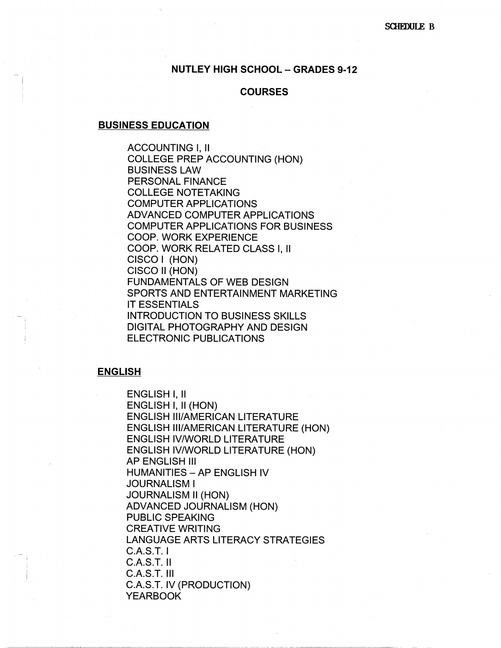## **NUTLEY HIGH SCHOOL - GRADES 9-12**

## **COURSES**

#### **BUSINESS EDUCATION**

ACCOUNTING I, II COLLEGE PREP ACCOUNTING (HON) BUSINESS LAW PERSONAL FINANCE COLLEGE NOTETAKING COMPUTER APPLICATIONS ADVANCED COMPUTER APPLICATIONS COMPUTER APPLICATIONS FOR BUSINESS COOP. WORK EXPERIENCE COOP. WORK RELATED CLASS I, II CISCO I (HON) CISCO 11 (HON) FUNDAMENTALS OF WEB DESIGN SPORTS AND ENTERTAINMENT MARKETING IT ESSENTIALS INTRODUCTION TO BUSINESS SKILLS DIGITAL PHOTOGRAPHY AND DESIGN ELECTRONIC PUBLICATIONS

#### **ENGLISH**

ENGLISH I, II ENGLISH I, II (HON) ENGLISH Ill/AMERICAN LITERATURE ENGLISH Ill/AMERICAN LITERATURE (HON) ENGLISH IV/WORLD LITERATURE ENGLISH IV/WORLD LITERATURE (HON) AP ENGLISH Ill **HUMANITIES - AP ENGLISH IV** JOURNALISM I JOURNALISM II (HON) ADVANCED JOURNALISM (HON) PUBLIC SPEAKING CREATIVE WRITING LANGUAGE ARTS LITERACY STRATEGIES C.A.S.T. I C.A.S.T. II C.A.S.T. Ill C.A.S.T. IV (PRODUCTION) YEARBOOK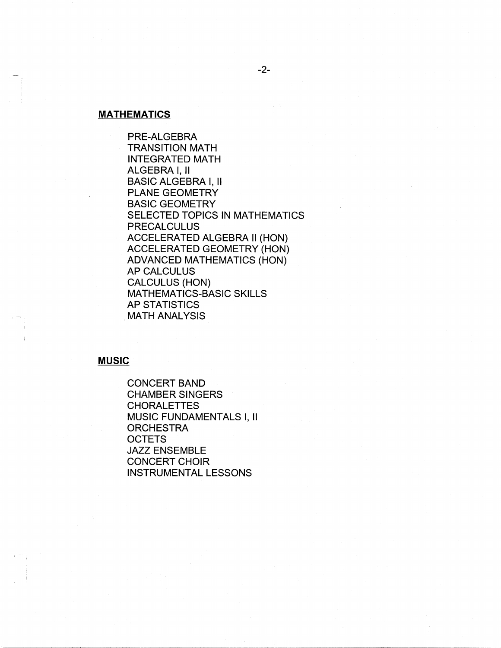#### **MATHEMATICS**

PRE-ALGEBRA TRANSITION MATH INTEGRATED MATH ALGEBRA I, II BASIC ALGEBRA I, II PLANE GEOMETRY BASIC GEOMETRY SELECTED TOPICS IN MATHEMATICS PRECALCULUS ACCELERATED ALGEBRA II (HON) ACCELERATED GEOMETRY (HON) ADVANCED MATHEMATICS (HON) AP CALCULUS CALCULUS (HON) MATHEMATICS-BASIC SKILLS AP STATISTICS **MATH ANALYSIS** 

#### **MUSIC**

CONCERT BAND CHAMBER SINGERS CHORALETTES MUSIC FUNDAMENTALS I, II **ORCHESTRA OCTETS** JAZZ ENSEMBLE CONCERT CHOIR INSTRUMENTAL LESSONS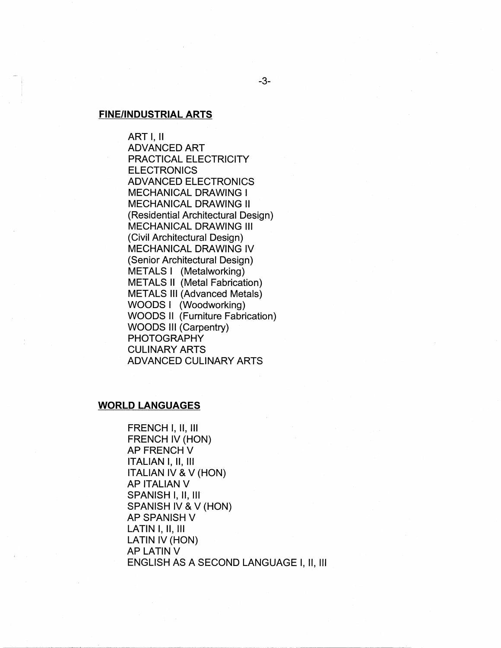#### **FINE/INDUSTRIAL ARTS**

ART I, II ADVANCED ART PRACTICAL ELECTRICITY **ELECTRONICS** ADVANCED ELECTRONICS MECHANICAL DRAWING I MECHANICAL DRAWING II (Residential Architectural Design) MECHANICAL DRAWING Ill (Civil Architectural Design) MECHANICAL DRAWING IV (Senior Architectural Design) METALS I (Metalworking) METALS II (Metal Fabrication) METALS Ill (Advanced Metals) WOODS I (Woodworking) WOODS II (Furniture Fabrication) WOODS Ill (Carpentry) PHOTOGRAPHY CULINARY ARTS ADVANCED CULINARY ARTS

# **WORLD LANGUAGES**

FRENCH I, II, Ill FRENCH IV (HON) AP FRENCH V ITALIAN I, II, Ill ITALIAN IV & V (HON) AP ITALIAN V SPANISH I, II, III SPANISH IV & V (HON) AP SPANISH V LATIN I, II, Ill LATIN IV (HON) AP LATIN V ENGLISH AS A SECOND LANGUAGE I, II, Ill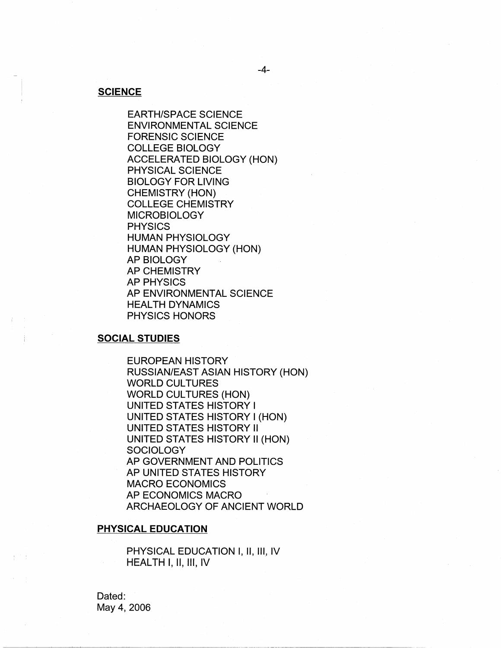## **SCIENCE**

EARTH/SPACE SCIENCE ENVIRONMENTAL SCIENCE FORENSIC SCIENCE COLLEGE BIOLOGY ACCELERATED BIOLOGY (HON) PHYSICAL SCIENCE BIOLOGY FOR LIVING CHEMISTRY (HON) COLLEGE CHEMISTRY MICROBIOLOGY PHYSICS HUMAN PHYSIOLOGY HUMAN PHYSIOLOGY (HON) AP BIOLOGY AP CHEMISTRY AP PHYSICS AP ENVIRONMENTAL SCIENCE HEALTH DYNAMICS PHYSICS HONORS

### **SOCIAL STUDIES**

EUROPEAN HISTORY RUSSIAN/EAST ASIAN HISTORY (HON) WORLD CULTURES WORLD CULTURES (HON) UNITED STATES HISTORY I UNITED STATES HISTORY I (HON) UNITED STATES HISTORY II UNITED STATES HISTORY II (HON) **SOCIOLOGY** AP GOVERNMENT AND POLITICS AP UNITED STATES HISTORY MACRO ECONOMICS AP ECONOMICS MACRO ARCHAEOLOGY OF ANCIENT WORLD

## **PHYSICAL EDUCATION**

PHYSICAL EDUCATION I, II, III, IV HEALTH I, II, Ill, IV

Dated: May 4, 2006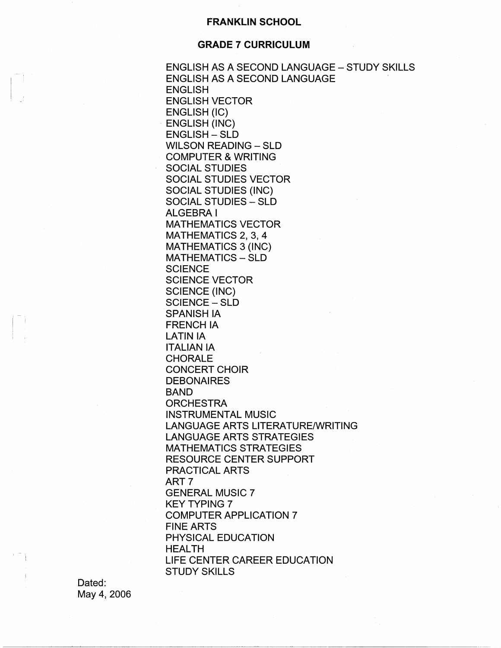### **FRANKLIN SCHOOL**

## **GRADE 7 CURRICULUM**

ENGLISH AS A SECOND LANGUAGE - STUDY SKILLS ENGLISH AS A SECOND LANGUAGE ENGLISH ENGLISH VECTOR ENGLISH (IC) ENGLISH (INC) ENGLISH - SLD WILSON READING - SLD COMPUTER & WRITING SOCIAL STUDIES SOCIAL STUDIES VECTOR SOCIAL STUDIES (INC) SOCIAL STUDIES - SLD ALGEBRA I MATHEMATICS VECTOR MATHEMATICS 2, 3, 4 MATHEMATICS 3 (INC) MATHEMATICS - SLD **SCIENCE** SCIENCE VECTOR SCIENCE (INC) SCIENCE - SLD SPANISH IA FRENCH IA LATIN IA ITALIAN IA CHORALE CONCERT CHOIR **DEBONAIRES** BAND **ORCHESTRA** INSTRUMENTAL MUSIC LANGUAGE ARTS LITERATURE/WRITING LANGUAGE ARTS STRATEGIES MATHEMATICS STRATEGIES RESOURCE CENTER SUPPORT PRACTICAL ARTS ART? GENERAL MUSIC 7 KEY TYPING 7 COMPUTER APPLICATION 7 FINE ARTS PHYSICAL EDUCATION HEALTH LIFE CENTER CAREER EDUCATION STUDY SKILLS

Dated: May 4, 2006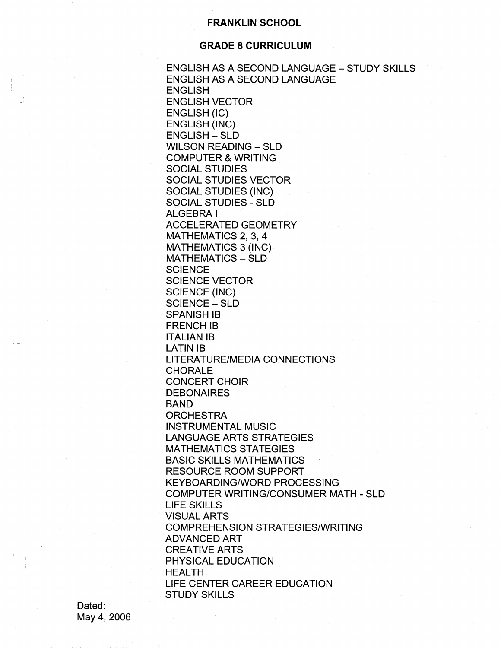## **FRANKLIN SCHOOL**

## **GRADE 8 CURRICULUM**

ENGLISH AS A SECOND LANGUAGE - STUDY SKILLS ENGLISH AS A SECOND LANGUAGE ENGLISH ENGLISH VECTOR ENGLISH (IC) ENGLISH (INC) ENGLISH - SLD WILSON READING - SLD COMPUTER & WRITING SOCIAL STUDIES SOCIAL STUDIES VECTOR SOCIAL STUDIES (INC) SOCIAL STUDIES - SLD ALGEBRA I ACCELERATED GEOMETRY MATHEMATICS 2, 3, 4 MATHEMATICS 3 (INC) MATHEMATICS - SLD **SCIENCE** SCIENCE VECTOR SCIENCE (INC) SCIENCE-SLD SPANISH IB FRENCHIB ITALIAN IB LATIN IB LITERATURE/MEDIA CONNECTIONS **CHORALE** CONCERT CHOIR **DEBONAIRES** BAND **ORCHESTRA** INSTRUMENTAL MUSIC LANGUAGE ARTS STRATEGIES MATHEMATICS STATEGIES BASIC SKILLS MATHEMATICS RESOURCE ROOM SUPPORT KEYBOARDING/WORD PROCESSING COMPUTER WRITING/CONSUMER MATH - SLD LIFE SKILLS VISUAL ARTS COMPREHENSION STRATEGIES/WRITING ADVANCED ART CREATIVE ARTS PHYSICAL EDUCATION HEALTH LIFE CENTER CAREER EDUCATION STUDY SKILLS

Dated: May 4, 2006